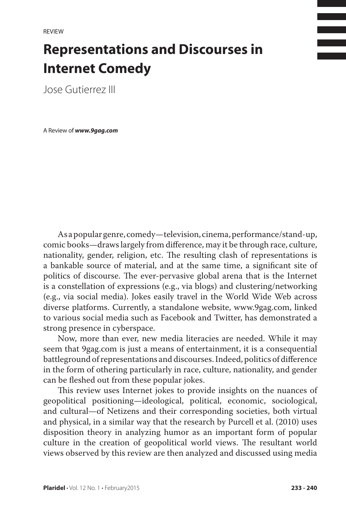## **Representations and Discourses in Internet Comedy**

Jose Gutierrez III

A Review of *www.9gag.com*

As a popular genre, comedy—television, cinema, performance/stand-up, comic books—draws largely from difference, may it be through race, culture, nationality, gender, religion, etc. The resulting clash of representations is a bankable source of material, and at the same time, a significant site of politics of discourse. The ever-pervasive global arena that is the Internet is a constellation of expressions (e.g., via blogs) and clustering/networking (e.g., via social media). Jokes easily travel in the World Wide Web across diverse platforms. Currently, a standalone website, www.9gag.com, linked to various social media such as Facebook and Twitter, has demonstrated a strong presence in cyberspace.

Now, more than ever, new media literacies are needed. While it may seem that 9gag.com is just a means of entertainment, it is a consequential battleground of representations and discourses. Indeed, politics of difference in the form of othering particularly in race, culture, nationality, and gender can be fleshed out from these popular jokes.

This review uses Internet jokes to provide insights on the nuances of geopolitical positioning—ideological, political, economic, sociological, and cultural—of Netizens and their corresponding societies, both virtual and physical, in a similar way that the research by Purcell et al. (2010) uses disposition theory in analyzing humor as an important form of popular culture in the creation of geopolitical world views. The resultant world views observed by this review are then analyzed and discussed using media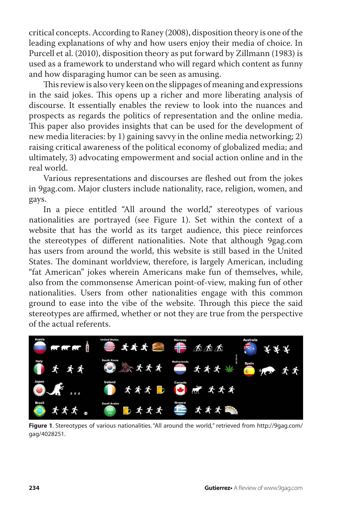critical concepts. According to Raney (2008), disposition theory is one of the leading explanations of why and how users enjoy their media of choice. In Purcell et al. (2010), disposition theory as put forward by Zillmann (1983) is used as a framework to understand who will regard which content as funny and how disparaging humor can be seen as amusing.

This review is also very keen on the slippages of meaning and expressions in the said jokes. This opens up a richer and more liberating analysis of discourse. It essentially enables the review to look into the nuances and prospects as regards the politics of representation and the online media. This paper also provides insights that can be used for the development of new media literacies: by 1) gaining savvy in the online media networking; 2) raising critical awareness of the political economy of globalized media; and ultimately, 3) advocating empowerment and social action online and in the real world.

Various representations and discourses are fleshed out from the jokes in 9gag.com. Major clusters include nationality, race, religion, women, and gays.

In a piece entitled "All around the world," stereotypes of various nationalities are portrayed (see Figure 1). Set within the context of a website that has the world as its target audience, this piece reinforces the stereotypes of different nationalities. Note that although 9gag.com has users from around the world, this website is still based in the United States. The dominant worldview, therefore, is largely American, including "fat American" jokes wherein Americans make fun of themselves, while, also from the commonsense American point-of-view, making fun of other nationalities. Users from other nationalities engage with this common ground to ease into the vibe of the website. Through this piece the said stereotypes are affirmed, whether or not they are true from the perspective of the actual referents.



**Figure 1**. Stereotypes of various nationalities. "All around the world," retrieved from http://9gag.com/ gag/4028251.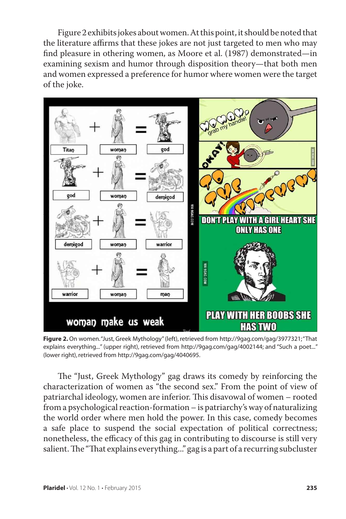Figure 2 exhibits jokes about women. At this point, it should be noted that the literature affirms that these jokes are not just targeted to men who may find pleasure in othering women, as Moore et al. (1987) demonstrated—in examining sexism and humor through disposition theory—that both men and women expressed a preference for humor where women were the target of the joke.



**Figure 2.** On women. "Just, Greek Mythology" (left), retrieved from http://9gag.com/gag/3977321; "That explains everything..." (upper right), retrieved from http://9gag.com/gag/4002144; and "Such a poet..." (lower right), retrieved from http://9gag.com/gag/4040695.

The "Just, Greek Mythology" gag draws its comedy by reinforcing the characterization of women as "the second sex." From the point of view of patriarchal ideology, women are inferior. This disavowal of women – rooted from a psychological reaction-formation – is patriarchy's way of naturalizing the world order where men hold the power. In this case, comedy becomes a safe place to suspend the social expectation of political correctness; nonetheless, the efficacy of this gag in contributing to discourse is still very salient. The "That explains everything..." gag is a part of a recurring subcluster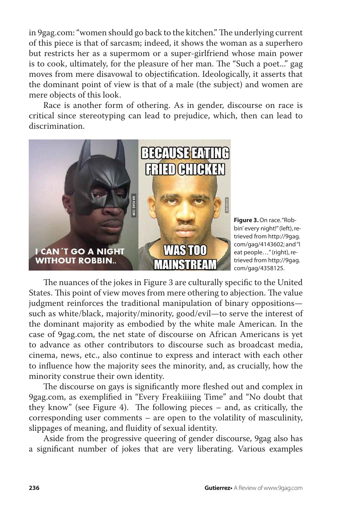in 9gag.com: "women should go back to the kitchen." The underlying current of this piece is that of sarcasm; indeed, it shows the woman as a superhero but restricts her as a supermom or a super-girlfriend whose main power is to cook, ultimately, for the pleasure of her man. The "Such a poet..." gag moves from mere disavowal to objectification. Ideologically, it asserts that the dominant point of view is that of a male (the subject) and women are mere objects of this look.

Race is another form of othering. As in gender, discourse on race is critical since stereotyping can lead to prejudice, which, then can lead to discrimination.



**Figure 3.** On race. "Robbin' every night!" (left), retrieved from http://9gag. com/gag/4143602; and "I eat people…" (right), retrieved from http://9gag. com/gag/4358125.

The nuances of the jokes in Figure 3 are culturally specific to the United States. This point of view moves from mere othering to abjection. The value judgment reinforces the traditional manipulation of binary oppositions such as white/black, majority/minority, good/evil—to serve the interest of the dominant majority as embodied by the white male American. In the case of 9gag.com, the net state of discourse on African Americans is yet to advance as other contributors to discourse such as broadcast media, cinema, news, etc., also continue to express and interact with each other to influence how the majority sees the minority, and, as crucially, how the minority construe their own identity.

The discourse on gays is significantly more fleshed out and complex in 9gag.com, as exemplified in "Every Freakiiiing Time" and "No doubt that they know" (see Figure 4). The following pieces – and, as critically, the corresponding user comments – are open to the volatility of masculinity, slippages of meaning, and fluidity of sexual identity.

Aside from the progressive queering of gender discourse, 9gag also has a significant number of jokes that are very liberating. Various examples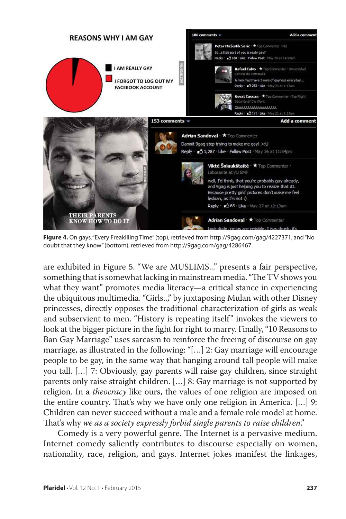

**Figure 4.** On gays. "Every Freakiiiing Time" (top), retrieved from http://9gag.com/gag/4227371; and "No doubt that they know" (bottom), retrieved from http://9gag.com/gag/4286467.

are exhibited in Figure 5. "We are MUSLIMS..." presents a fair perspective, something that is somewhat lacking in mainstream media. "The TV shows you what they want" promotes media literacy—a critical stance in experiencing the ubiquitous multimedia. "Girls..," by juxtaposing Mulan with other Disney princesses, directly opposes the traditional characterization of girls as weak and subservient to men. "History is repeating itself" invokes the viewers to look at the bigger picture in the fight for right to marry. Finally, "10 Reasons to Ban Gay Marriage" uses sarcasm to reinforce the freeing of discourse on gay marriage, as illustrated in the following: "[…] 2: Gay marriage will encourage people to be gay, in the same way that hanging around tall people will make you tall. […] 7: Obviously, gay parents will raise gay children, since straight parents only raise straight children. […] 8: Gay marriage is not supported by religion. In a *theocracy* like ours, the values of one religion are imposed on the entire country. That's why we have only one religion in America. […] 9: Children can never succeed without a male and a female role model at home. That's why *we as a society expressly forbid single parents to raise children*."

Comedy is a very powerful genre. The Internet is a pervasive medium. Internet comedy saliently contributes to discourse especially on women, nationality, race, religion, and gays. Internet jokes manifest the linkages,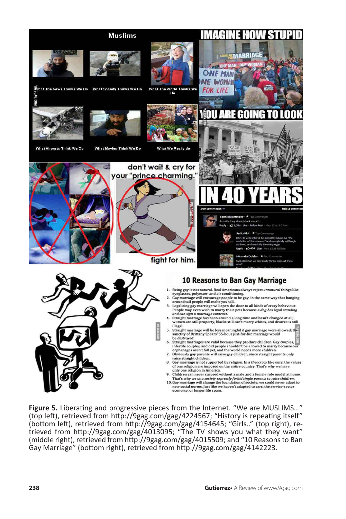

**Figure 5.** Liberating and progressive pieces from the Internet. "We are MUSLIMS..." (top left), retrieved from http://9gag.com/gag/4224567; "History is repeating itself" (bottom left), retrieved from http://9gag.com/gag/4154645; "Girls.." (top right), retrieved from http://9gag.com/gag/4013095; "The TV shows you what they want" (middle right), retrieved from http://9gag.com/gag/4015509; and "10 Reasons to Ban Gay Marriage" (bottom right), retrieved from http://9gag.com/gag/4142223.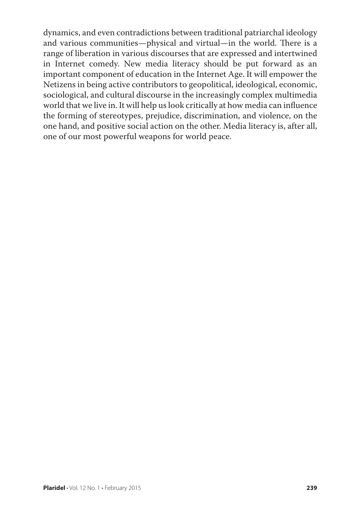dynamics, and even contradictions between traditional patriarchal ideology and various communities—physical and virtual—in the world. There is a range of liberation in various discourses that are expressed and intertwined in Internet comedy. New media literacy should be put forward as an important component of education in the Internet Age. It will empower the Netizens in being active contributors to geopolitical, ideological, economic, sociological, and cultural discourse in the increasingly complex multimedia world that we live in. It will help us look critically at how media can influence the forming of stereotypes, prejudice, discrimination, and violence, on the one hand, and positive social action on the other. Media literacy is, after all, one of our most powerful weapons for world peace.